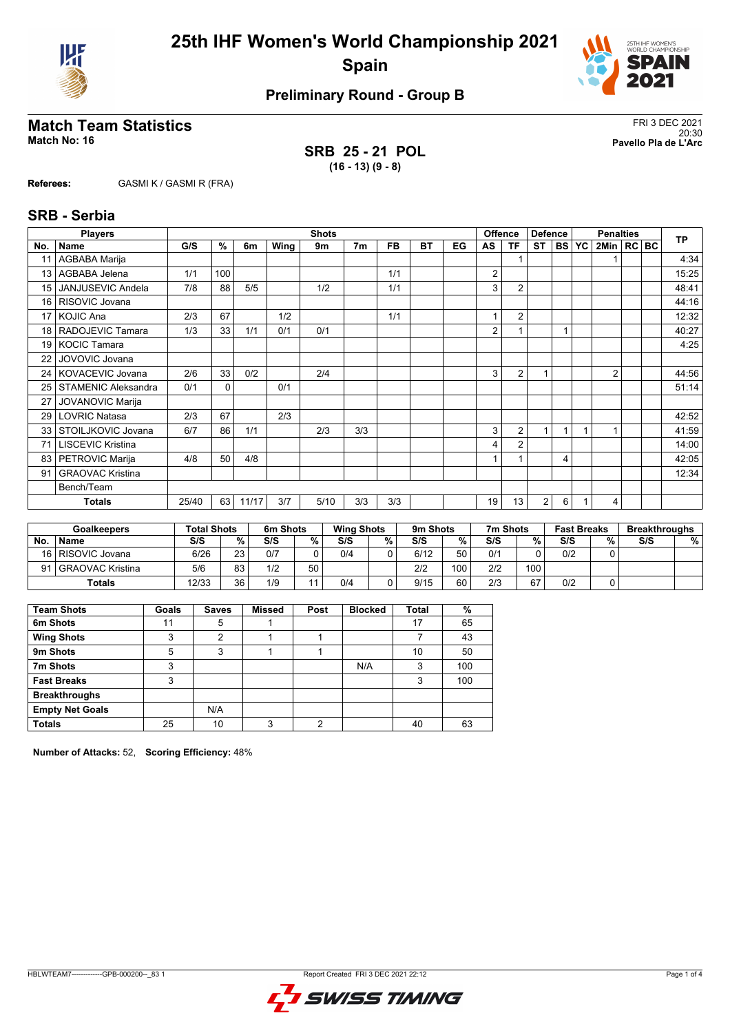



# **Match Team Statistics** FRI 3 DEC 2021

**SRB 25 - 21 POL (16 - 13) (9 - 8)**

20:30 **Match No: 16 Pavello Pla de L'Arc**

**Referees:** GASMI K / GASMI R (FRA)

#### **SRB - Serbia**

|                 | <b>Players</b>             |       | <b>Shots</b> |       |      |      |                |           |           |    | <b>Offence</b> | <b>Defence</b> |                | <b>Penalties</b> |  |                |  | <b>TP</b> |       |
|-----------------|----------------------------|-------|--------------|-------|------|------|----------------|-----------|-----------|----|----------------|----------------|----------------|------------------|--|----------------|--|-----------|-------|
| No.             | <b>Name</b>                | G/S   | %            | 6m    | Wing | 9m   | 7 <sub>m</sub> | <b>FB</b> | <b>BT</b> | EG | AS             | ΤF             | <b>ST</b>      | <b>BS YC</b>     |  | 2Min   RC BC   |  |           |       |
|                 | AGBABA Marija              |       |              |       |      |      |                |           |           |    |                |                |                |                  |  |                |  |           | 4:34  |
| 13              | AGBABA Jelena              | 1/1   | 100          |       |      |      |                | 1/1       |           |    | 2              |                |                |                  |  |                |  |           | 15:25 |
| 15 <sup>1</sup> | <b>JANJUSEVIC Andela</b>   | 7/8   | 88           | 5/5   |      | 1/2  |                | 1/1       |           |    | 3              | $\overline{2}$ |                |                  |  |                |  |           | 48:41 |
| 16 <sup>1</sup> | RISOVIC Jovana             |       |              |       |      |      |                |           |           |    |                |                |                |                  |  |                |  |           | 44:16 |
| 17 <sup>1</sup> | <b>KOJIC Ana</b>           | 2/3   | 67           |       | 1/2  |      |                | 1/1       |           |    |                | $\overline{2}$ |                |                  |  |                |  |           | 12:32 |
|                 | 18   RADOJEVIC Tamara      | 1/3   | 33           | 1/1   | 0/1  | 0/1  |                |           |           |    | 2              |                |                |                  |  |                |  |           | 40:27 |
| 19 <sup>1</sup> | <b>KOCIC Tamara</b>        |       |              |       |      |      |                |           |           |    |                |                |                |                  |  |                |  |           | 4:25  |
| 22              | JOVOVIC Jovana             |       |              |       |      |      |                |           |           |    |                |                |                |                  |  |                |  |           |       |
|                 | 24   KOVACEVIC Jovana      | 2/6   | 33           | 0/2   |      | 2/4  |                |           |           |    | 3              | $\overline{2}$ |                |                  |  | $\overline{2}$ |  |           | 44:56 |
| 25              | <b>STAMENIC Aleksandra</b> | 0/1   | $\mathbf 0$  |       | 0/1  |      |                |           |           |    |                |                |                |                  |  |                |  |           | 51:14 |
| 27              | <b>JOVANOVIC Marija</b>    |       |              |       |      |      |                |           |           |    |                |                |                |                  |  |                |  |           |       |
| 29              | <b>LOVRIC Natasa</b>       | 2/3   | 67           |       | 2/3  |      |                |           |           |    |                |                |                |                  |  |                |  |           | 42:52 |
|                 | 33   STOILJKOVIC Jovana    | 6/7   | 86           | 1/1   |      | 2/3  | 3/3            |           |           |    | 3              | $\overline{2}$ | $\overline{ }$ |                  |  |                |  |           | 41:59 |
| 71              | <b>LISCEVIC Kristina</b>   |       |              |       |      |      |                |           |           |    | 4              | $\overline{2}$ |                |                  |  |                |  |           | 14:00 |
| 83              | PETROVIC Marija            | 4/8   | 50           | 4/8   |      |      |                |           |           |    | 1              |                |                | 4                |  |                |  |           | 42:05 |
| 91              | <b>GRAOVAC Kristina</b>    |       |              |       |      |      |                |           |           |    |                |                |                |                  |  |                |  |           | 12:34 |
|                 | Bench/Team                 |       |              |       |      |      |                |           |           |    |                |                |                |                  |  |                |  |           |       |
|                 | <b>Totals</b>              | 25/40 | 63           | 11/17 | 3/7  | 5/10 | 3/3            | 3/3       |           |    | 19             | 13             | 2              | 6                |  | 4              |  |           |       |

|           | <b>Goalkeepers</b>    | <b>Total Shots</b> |        | 6m Shots |    | <b>Wing Shots</b> |   | 9m Shots |     | 7m Shots |     | <b>Fast Breaks</b> |   | <b>Breakthroughs</b> |   |
|-----------|-----------------------|--------------------|--------|----------|----|-------------------|---|----------|-----|----------|-----|--------------------|---|----------------------|---|
| <b>No</b> | <b>Name</b>           | S/S                | $\%$ . | S/S      | %  | S/S               | % | S/S      | ℅   | S/S      | %   | S/S                | % | S/S                  | % |
|           | 16   RISOVIC Jovana   | 6/26               | 23     | 0/7      |    | 0/4               |   | 6/12     | 50  | 0/1      |     | 0/2                |   |                      |   |
|           | 91   GRAOVAC Kristina | 5/6                | 83     | 1/2      | 50 |                   |   | 2/2      | 100 | 2/2      | 100 |                    |   |                      |   |
|           | Totals                | 12/33              | 36     | 1/9      |    | 0/4               |   | 9/15     | 60  | 2/3      | 67  | 0/2                |   |                      |   |

| <b>Team Shots</b>      | Goals | <b>Saves</b>   | Missed | Post | <b>Blocked</b> | <b>Total</b> | %   |
|------------------------|-------|----------------|--------|------|----------------|--------------|-----|
| 6m Shots               | 11    | 5              |        |      |                | 17           | 65  |
| <b>Wing Shots</b>      | 3     | $\overline{2}$ |        |      |                |              | 43  |
| 9m Shots               | 5     | 3              |        |      |                | 10           | 50  |
| 7m Shots               | 3     |                |        |      | N/A            | 3            | 100 |
| <b>Fast Breaks</b>     | 3     |                |        |      |                | 3            | 100 |
| <b>Breakthroughs</b>   |       |                |        |      |                |              |     |
| <b>Empty Net Goals</b> |       | N/A            |        |      |                |              |     |
| <b>Totals</b>          | 25    | 10             | 3      | っ    |                | 40           | 63  |

**Number of Attacks:** 52, **Scoring Efficiency:** 48%

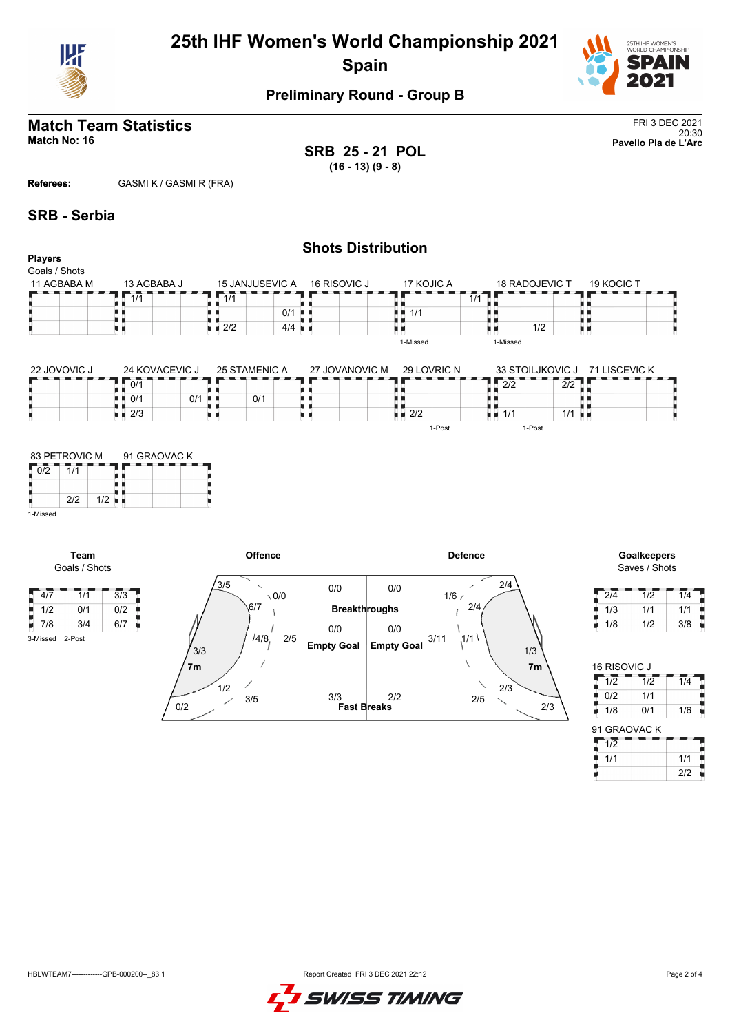



# **Match Team Statistics** FRI 3 DEC 2021

**SRB 25 - 21 POL (16 - 13) (9 - 8)**

**Shots Distribution**

20:30 **Match No: 16 Pavello Pla de L'Arc**

**Referees:** GASMI K / GASMI R (FRA)

#### **SRB - Serbia**

| <b>Players</b><br>Goals / Shots |                    |                    |                      |                    |                                   |                                |  |
|---------------------------------|--------------------|--------------------|----------------------|--------------------|-----------------------------------|--------------------------------|--|
| 11 AGBABA M                     | 13 AGBABA J        | 15 JANJUSEVIC A    | 16 RISOVIC J         | 17 KOJIC A         | 18 RADOJEVIC T                    | 19 KOCIC T                     |  |
|                                 | 1/1                | 1, 1/1             |                      |                    | $1/1$ .                           |                                |  |
|                                 |                    |                    | $0/1$ $\blacksquare$ | 1/1<br>. .         |                                   |                                |  |
|                                 |                    | $\blacksquare$ 2/2 | $4/4$ $\blacksquare$ |                    | 1/2                               |                                |  |
|                                 |                    |                    |                      | 1-Missed           | 1-Missed                          |                                |  |
| 22 JOVOVIC J                    | 24 KOVACEVIC J     | 25 STAMENIC A      | 27 JOVANOVIC M       | 29 LOVRIC N        |                                   | 33 STOILJKOVIC J 71 LISCEVIC K |  |
|                                 | 10/1               |                    |                      |                    | $\frac{1}{2}$ $\frac{1}{2}$       | $\overline{2}/2$               |  |
|                                 | ■■ 0/1             | $0/1$ .<br>0/1     |                      |                    |                                   |                                |  |
|                                 | $\blacksquare$ 2/3 |                    |                      | $\blacksquare$ 2/2 | $\blacksquare$ $\blacksquare$ 1/1 | $1/1$ u $\blacksquare$         |  |
|                                 |                    |                    |                      | 1-Post             | 1-Post                            |                                |  |



**Team** Goals / Shots

3-Missed 2-Post





| 2/4 | 1/2 | 1/4 |
|-----|-----|-----|
| 1/3 | 1/1 | 1/1 |
| 1/8 | 1/2 | 3/8 |

| <b>16 RISOVIC J</b> |                  |                  |
|---------------------|------------------|------------------|
| 1/2                 | $\overline{1/2}$ | $\overline{1/4}$ |
| 0/2                 | 1/1              |                  |
| 1/8                 | 0/1              | 1/6              |
| 91 GRAOVAC K        |                  |                  |
| 1/2                 |                  |                  |
| 1/1                 |                  | 1/1              |
|                     |                  | 2/2              |

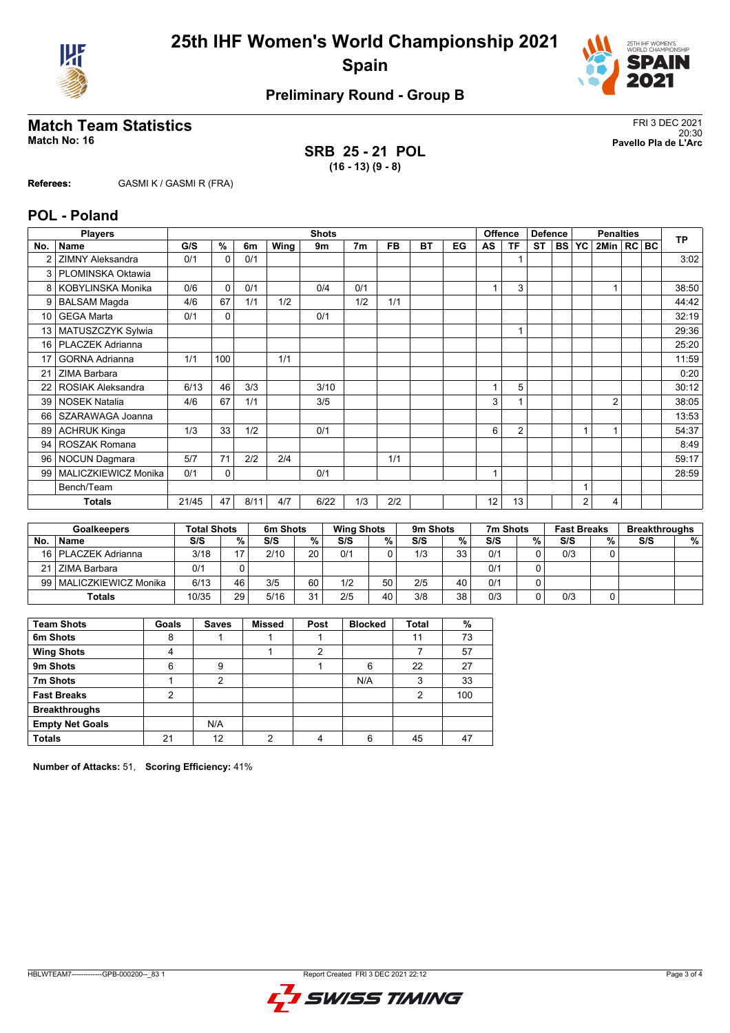



# **Match Team Statistics** FRI 3 DEC 2021

**SRB 25 - 21 POL (16 - 13) (9 - 8)**

20:30 **Match No: 16 Pavello Pla de L'Arc**

**Referees:** GASMI K / GASMI R (FRA)

#### **POL - Poland**

|                 | <b>Players</b>           | <b>Shots</b> |          |      |      |      |                |           |    | <b>Offence</b><br><b>Defence</b> |                         |                | <b>Penalties</b> |              |                |                | <b>TP</b> |  |       |
|-----------------|--------------------------|--------------|----------|------|------|------|----------------|-----------|----|----------------------------------|-------------------------|----------------|------------------|--------------|----------------|----------------|-----------|--|-------|
| No.             | Name                     | G/S          | %        | 6m   | Wing | 9m   | 7 <sub>m</sub> | <b>FB</b> | BT | EG                               | AS                      | ΤF             | <b>ST</b>        | <b>BS YC</b> |                | 2Min   RC BC   |           |  |       |
| $\overline{2}$  | <b>ZIMNY Aleksandra</b>  | 0/1          | $\Omega$ | 0/1  |      |      |                |           |    |                                  |                         |                |                  |              |                |                |           |  | 3:02  |
| 3               | PLOMINSKA Oktawia        |              |          |      |      |      |                |           |    |                                  |                         |                |                  |              |                |                |           |  |       |
| 8               | <b>KOBYLINSKA Monika</b> | 0/6          | $\Omega$ | 0/1  |      | 0/4  | 0/1            |           |    |                                  |                         | 3              |                  |              |                |                |           |  | 38:50 |
| 9               | <b>BALSAM Magda</b>      | 4/6          | 67       | 1/1  | 1/2  |      | 1/2            | 1/1       |    |                                  |                         |                |                  |              |                |                |           |  | 44:42 |
| 10 <sup>1</sup> | <b>GEGA Marta</b>        | 0/1          | $\Omega$ |      |      | 0/1  |                |           |    |                                  |                         |                |                  |              |                |                |           |  | 32:19 |
| 13              | MATUSZCZYK Sylwia        |              |          |      |      |      |                |           |    |                                  |                         |                |                  |              |                |                |           |  | 29:36 |
| 16              | PLACZEK Adrianna         |              |          |      |      |      |                |           |    |                                  |                         |                |                  |              |                |                |           |  | 25:20 |
| 17              | <b>GORNA Adrianna</b>    | 1/1          | 100      |      | 1/1  |      |                |           |    |                                  |                         |                |                  |              |                |                |           |  | 11:59 |
| 21              | ZIMA Barbara             |              |          |      |      |      |                |           |    |                                  |                         |                |                  |              |                |                |           |  | 0:20  |
| 22              | <b>ROSIAK Aleksandra</b> | 6/13         | 46       | 3/3  |      | 3/10 |                |           |    |                                  |                         | 5              |                  |              |                |                |           |  | 30:12 |
| 39              | <b>NOSEK Natalia</b>     | 4/6          | 67       | 1/1  |      | 3/5  |                |           |    |                                  | 3                       |                |                  |              |                | $\overline{2}$ |           |  | 38:05 |
| 66              | SZARAWAGA Joanna         |              |          |      |      |      |                |           |    |                                  |                         |                |                  |              |                |                |           |  | 13:53 |
| 89              | <b>ACHRUK Kinga</b>      | 1/3          | 33       | 1/2  |      | 0/1  |                |           |    |                                  | 6                       | $\overline{2}$ |                  |              | 1              |                |           |  | 54:37 |
| 94              | <b>ROSZAK Romana</b>     |              |          |      |      |      |                |           |    |                                  |                         |                |                  |              |                |                |           |  | 8:49  |
| 96              | <b>NOCUN Dagmara</b>     | 5/7          | 71       | 2/2  | 2/4  |      |                | 1/1       |    |                                  |                         |                |                  |              |                |                |           |  | 59:17 |
| 99              | MALICZKIEWICZ Monika     | 0/1          | 0        |      |      | 0/1  |                |           |    |                                  | $\overline{\mathbf{A}}$ |                |                  |              |                |                |           |  | 28:59 |
|                 | Bench/Team               |              |          |      |      |      |                |           |    |                                  |                         |                |                  |              | 4              |                |           |  |       |
|                 | <b>Totals</b>            | 21/45        | 47       | 8/11 | 4/7  | 6/22 | 1/3            | 2/2       |    |                                  | 12                      | 13             |                  |              | $\overline{2}$ | 4              |           |  |       |

| <b>Goalkeepers</b> |                           | <b>Total Shots</b> |    | 6m Shots |    | <b>Wing Shots</b> |    | 9 <sub>m</sub> Shots |    | 7m Shots |    | <b>Fast Breaks</b> |   | <b>Breakthroughs</b> |   |
|--------------------|---------------------------|--------------------|----|----------|----|-------------------|----|----------------------|----|----------|----|--------------------|---|----------------------|---|
| No.                | ∣ Name                    | S/S                | %  | S/S      | %  | S/S               | %  | S/S                  | %  | S/S      | %. | S/S                | % | S/S                  | % |
|                    | 16   PLACZEK Adrianna     | 3/18               | 17 | 2/10     | 20 | 0/1               |    | 1/3                  | 33 | 0/1      |    | 0/3                |   |                      |   |
|                    | 21 ZIMA Barbara           | 0/1                |    |          |    |                   |    |                      |    | 0/1      |    |                    |   |                      |   |
|                    | 99   MALICZKIEWICZ Monika | 6/13               | 46 | 3/5      | 60 | 1/2               | 50 | 2/5                  | 40 | 0/1      |    |                    |   |                      |   |
|                    | <b>Totals</b>             | 10/35              | 29 | 5/16     | 31 | 2/5               | 40 | 3/8                  | 38 | 0/3      |    | 0/3                |   |                      |   |

| <b>Team Shots</b>      | Goals | Saves | <b>Missed</b> | Post | <b>Blocked</b> | <b>Total</b> | %   |
|------------------------|-------|-------|---------------|------|----------------|--------------|-----|
| 6m Shots               | 8     |       |               |      |                | 11           | 73  |
| <b>Wing Shots</b>      | 4     |       |               | 2    |                |              | 57  |
| 9m Shots               | 6     | 9     |               |      | 6              | 22           | 27  |
| 7m Shots               |       | 2     |               |      | N/A            | 3            | 33  |
| <b>Fast Breaks</b>     | 2     |       |               |      |                | 2            | 100 |
| <b>Breakthroughs</b>   |       |       |               |      |                |              |     |
| <b>Empty Net Goals</b> |       | N/A   |               |      |                |              |     |
| <b>Totals</b>          | 21    | 12    | ∩             |      | 6              | 45           | 47  |

**Number of Attacks:** 51, **Scoring Efficiency:** 41%